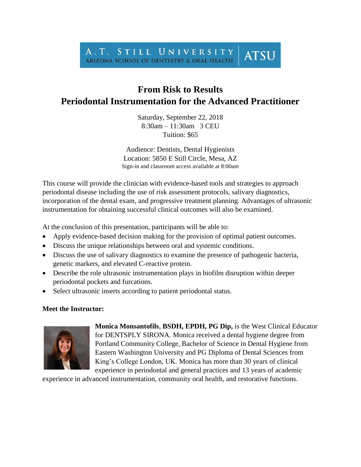## A.T. STILL UNIVERSITY **ATSU** ARIZONA SCHOOL OF DENTISTRY & ORAL HEALTH

## **From Risk to Results Periodontal Instrumentation for the Advanced Practitioner**

Saturday, September 22, 2018 8:30am – 11:30am 3 CEU Tuition: \$65

Audience: Dentists, Dental Hygienists Location: 5850 E Still Circle, Mesa, AZ Sign-in and classroom access available at 8:00am

This course will provide the clinician with evidence-based tools and strategies to approach periodontal disease including the use of risk assessment protocols, salivary diagnostics, incorporation of the dental exam, and progressive treatment planning. Advantages of ultrasonic instrumentation for obtaining successful clinical outcomes will also be examined.

At the conclusion of this presentation, participants will be able to:

- Apply evidence-based decision making for the provision of optimal patient outcomes.
- Discuss the unique relationships between oral and systemic conditions.
- Discuss the use of salivary diagnostics to examine the presence of pathogenic bacteria, genetic markers, and elevated C-reactive protein.
- Describe the role ultrasonic instrumentation plays in biofilm disruption within deeper periodontal pockets and furcations.
- Select ultrasonic inserts according to patient periodontal status.

## **Meet the Instructor:**



**Monica Monsantofils**, **BSDH, EPDH, PG Dip,** is the West Clinical Educator for DENTSPLY SIRONA. Monica received a dental hygiene degree from Portland Community College, Bachelor of Science in Dental Hygiene from Eastern Washington University and PG Diploma of Dental Sciences from King's College London, UK. Monica has more than 30 years of clinical experience in periodontal and general practices and 13 years of academic

experience in advanced instrumentation, community oral health, and restorative functions.